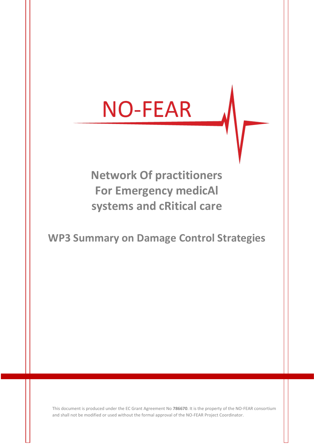# **NO-FEAR**

# **Network Of practitioners For Emergency medicAl systems and cRitical care**

# **WP3 Summary on Damage Control Strategies**

This document is produced under the EC Grant Agreement No **786670**. It is the property of the NO-FEAR consortium and shall not be modified or used without the formal approval of the NO-FEAR Project Coordinator.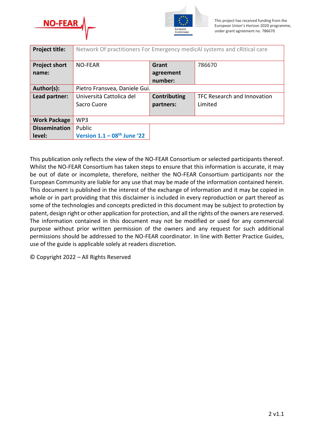



| <b>Project title:</b> | Network Of practitioners For Emergency medicAl systems and cRitical care |                     |                             |  |  |
|-----------------------|--------------------------------------------------------------------------|---------------------|-----------------------------|--|--|
| <b>Project short</b>  | <b>NO-FEAR</b>                                                           | Grant               | 786670                      |  |  |
| name:                 |                                                                          | agreement           |                             |  |  |
|                       |                                                                          | number:             |                             |  |  |
| Author(s):            | Pietro Fransvea, Daniele Gui.                                            |                     |                             |  |  |
| Lead partner:         | Università Cattolica del                                                 | <b>Contributing</b> | TFC Research and Innovation |  |  |
|                       | Sacro Cuore                                                              | partners:           | Limited                     |  |  |
|                       |                                                                          |                     |                             |  |  |
| <b>Work Package</b>   | WP3                                                                      |                     |                             |  |  |
| <b>Dissemination</b>  | Public                                                                   |                     |                             |  |  |
| level:                | Version $1.1 - 08$ <sup>th</sup> June '22                                |                     |                             |  |  |

This publication only reflects the view of the NO-FEAR Consortium or selected participants thereof. Whilst the NO-FEAR Consortium has taken steps to ensure that this information is accurate, it may be out of date or incomplete, therefore, neither the NO-FEAR Consortium participants nor the European Community are liable for any use that may be made of the information contained herein. This document is published in the interest of the exchange of information and it may be copied in whole or in part providing that this disclaimer is included in every reproduction or part thereof as some of the technologies and concepts predicted in this document may be subject to protection by patent, design right or other application for protection, and all the rights of the owners are reserved. The information contained in this document may not be modified or used for any commercial purpose without prior written permission of the owners and any request for such additional permissions should be addressed to the NO-FEAR coordinator. In line with Better Practice Guides, use of the guide is applicable solely at readers discretion.

© Copyright 2022 – All Rights Reserved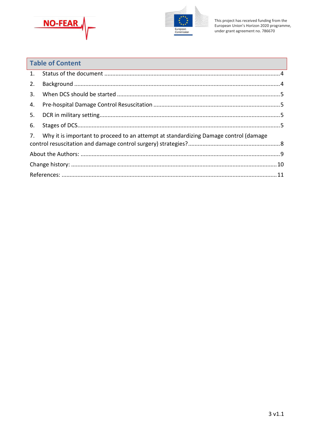



| <b>Table of Content</b> |                                                                                      |  |  |
|-------------------------|--------------------------------------------------------------------------------------|--|--|
| 1.                      |                                                                                      |  |  |
| 2.                      |                                                                                      |  |  |
| 3.                      |                                                                                      |  |  |
| 4.                      |                                                                                      |  |  |
| 5.                      |                                                                                      |  |  |
| 6.                      |                                                                                      |  |  |
| 7.                      | Why it is important to proceed to an attempt at standardizing Damage control (damage |  |  |
|                         |                                                                                      |  |  |
|                         |                                                                                      |  |  |
|                         |                                                                                      |  |  |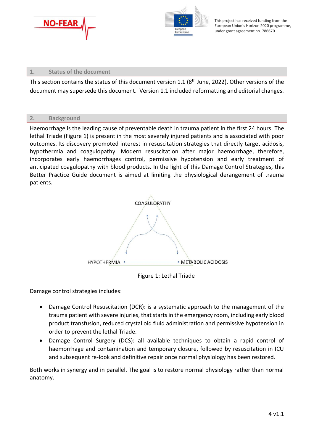



# <span id="page-3-0"></span>**1. Status of the document**

This section contains the status of this document version 1.1 (8<sup>th</sup> June, 2022). Other versions of the document may supersede this document. Version 1.1 included reformatting and editorial changes.

# <span id="page-3-1"></span>**2. Background**

Haemorrhage is the leading cause of preventable death in trauma patient in the first 24 hours. The lethal Triade (Figure 1) is present in the most severely injured patients and is associated with poor outcomes. Its discovery promoted interest in resuscitation strategies that directly target acidosis, hypothermia and coagulopathy. Modern resuscitation after major haemorrhage, therefore, incorporates early haemorrhages control, permissive hypotension and early treatment of anticipated coagulopathy with blood products. In the light of this Damage Control Strategies, this Better Practice Guide document is aimed at limiting the physiological derangement of trauma patients.



Figure 1: Lethal Triade

Damage control strategies includes:

- Damage Control Resuscitation (DCR): is a systematic approach to the management of the trauma patient with severe injuries, that starts in the emergency room, including early blood product transfusion, reduced crystalloid fluid administration and permissive hypotension in order to prevent the lethal Triade.
- Damage Control Surgery (DCS): all available techniques to obtain a rapid control of haemorrhage and contamination and temporary closure, followed by resuscitation in ICU and subsequent re-look and definitive repair once normal physiology has been restored.

Both works in synergy and in parallel. The goal is to restore normal physiology rather than normal anatomy.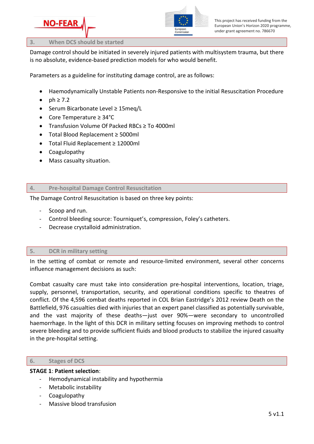

#### <span id="page-4-0"></span>**3. When DCS should be started**

Damage control should be initiated in severely injured patients with multisystem trauma, but there is no absolute, evidence-based prediction models for who would benefit.

Parameters as a guideline for instituting damage control, are as follows:

- Haemodynamically Unstable Patients non-Responsive to the initial Resuscitation Procedure
- $ph \geq 7.2$
- Serum Bicarbonate Level ≥ 15meq/L
- Core Temperature ≥ 34°C
- Transfusion Volume Of Packed RBCs ≥ To 4000ml
- Total Blood Replacement ≥ 5000ml
- Total Fluid Replacement ≥ 12000ml
- Coagulopathy
- Mass casualty situation.

## <span id="page-4-1"></span>**4. Pre-hospital Damage Control Resuscitation**

The Damage Control Resuscitation is based on three key points:

- Scoop and run.
- Control bleeding source: Tourniquet's, compression, Foley's catheters.
- Decrease crystalloid administration.

# <span id="page-4-2"></span>**5. DCR in military setting**

In the setting of combat or remote and resource-limited environment, several other concerns influence management decisions as such:

Combat casualty care must take into consideration pre-hospital interventions, location, triage, supply, personnel, transportation, security, and operational conditions specific to theatres of conflict. Of the 4,596 combat deaths reported in COL Brian Eastridge's 2012 review Death on the Battlefield, 976 casualties died with injuries that an expert panel classified as potentially survivable, and the vast majority of these deaths—just over 90%—were secondary to uncontrolled haemorrhage. In the light of this DCR in military setting focuses on improving methods to control severe bleeding and to provide sufficient fluids and blood products to stabilize the injured casualty in the pre-hospital setting.

## <span id="page-4-3"></span>**6. Stages of DCS**

## **STAGE 1**: **Patient selection**:

- Hemodynamical instability and hypothermia
- Metabolic instability
- Coagulopathy
- Massive blood transfusion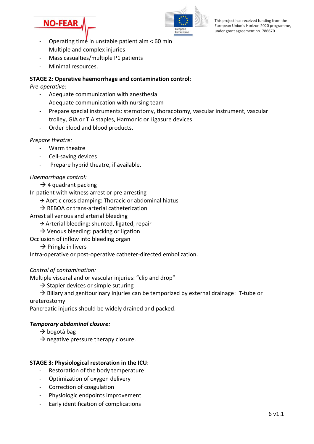



- Operating time in unstable patient aim < 60 min
- Multiple and complex injuries
- Mass casualties/multiple P1 patients
- Minimal resources.

# **STAGE 2: Operative haemorrhage and contamination control**:

*Pre-operative:*

- Adequate communication with anesthesia
- Adequate communication with nursing team
- Prepare special instruments: sternotomy, thoracotomy, vascular instrument, vascular trolley, GIA or TIA staples, Harmonic or Ligasure devices
- Order blood and blood products.

## *Prepare theatre:*

- Warm theatre
- Cell-saving devices
- Prepare hybrid theatre, if available.

# *Haemorrhage control:*

# $\rightarrow$  4 quadrant packing

In patient with witness arrest or pre arresting

- $\rightarrow$  Aortic cross clamping: Thoracic or abdominal hiatus
- $\rightarrow$  REBOA or trans-arterial catheterization
- Arrest all venous and arterial bleeding
	- → Arterial bleeding: shunted, ligated, repair
	- $\rightarrow$  Venous bleeding: packing or ligation
- Occlusion of inflow into bleeding organ
	- $\rightarrow$  Pringle in livers

Intra-operative or post-operative catheter-directed embolization.

# *Control of contamination:*

Multiple visceral and or vascular injuries: "clip and drop"

 $\rightarrow$  Stapler devices or simple suturing

 $\rightarrow$  Biliary and genitourinary injuries can be temporized by external drainage: T-tube or ureterostomy

Pancreatic injuries should be widely drained and packed.

## *Temporary abdominal closure:*

- $\rightarrow$  bogotà bag
- $\rightarrow$  negative pressure therapy closure.

# **STAGE 3: Physiological restoration in the ICU**:

- Restoration of the body temperature
- Optimization of oxygen delivery
- Correction of coagulation
- Physiologic endpoints improvement
- Early identification of complications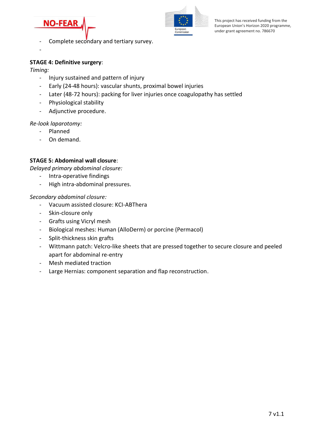



- Complete secondary and tertiary survey.
- -

# **STAGE 4: Definitive surgery**:

*Timing:*

- Injury sustained and pattern of injury
- Early (24-48 hours): vascular shunts, proximal bowel injuries
- Later (48-72 hours): packing for liver injuries once coagulopathy has settled
- Physiological stability
- Adjunctive procedure.

## *Re-look laparotomy:*

- Planned
- On demand.

# **STAGE 5: Abdominal wall closure**:

*Delayed primary abdominal closure:*

- Intra-operative findings
- High intra-abdominal pressures.

## *Secondary abdominal closure:*

- Vacuum assisted closure: KCI-ABThera
- Skin-closure only
- Grafts using Vicryl mesh
- Biological meshes: Human (AlloDerm) or porcine (Permacol)
- Split-thickness skin grafts
- Wittmann patch: Velcro-like sheets that are pressed together to secure closure and peeled apart for abdominal re-entry
- Mesh mediated traction
- Large Hernias: component separation and flap reconstruction.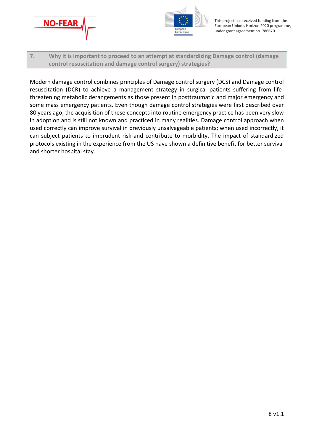



<span id="page-7-0"></span>**7. Why it is important to proceed to an attempt at standardizing Damage control (damage control resuscitation and damage control surgery) strategies?**

Modern damage control combines principles of Damage control surgery (DCS) and Damage control resuscitation (DCR) to achieve a management strategy in surgical patients suffering from lifethreatening metabolic derangements as those present in posttraumatic and major emergency and some mass emergency patients. Even though damage control strategies were first described over 80 years ago, the acquisition of these concepts into routine emergency practice has been very slow in adoption and is still not known and practiced in many realities. Damage control approach when used correctly can improve survival in previously unsalvageable patients; when used incorrectly, it can subject patients to imprudent risk and contribute to morbidity. The impact of standardized protocols existing in the experience from the US have shown a definitive benefit for better survival and shorter hospital stay.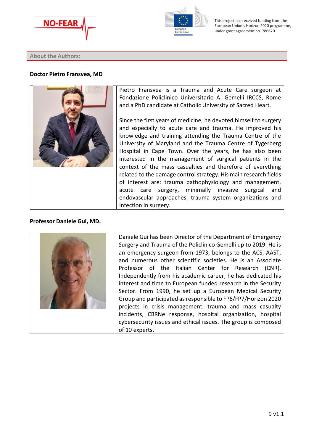



#### <span id="page-8-0"></span>**About the Authors:**

#### **Doctor Pietro Fransvea, MD**



Pietro Fransvea is a Trauma and Acute Care surgeon at Fondazione Policlinico Universitario A. Gemelli IRCCS, Rome and a PhD candidate at Catholic University of Sacred Heart.

Since the first years of medicine, he devoted himself to surgery and especially to acute care and trauma. He improved his knowledge and training attending the Trauma Centre of the University of Maryland and the Trauma Centre of Tygerberg Hospital in Cape Town. Over the years, he has also been interested in the management of surgical patients in the context of the mass casualties and therefore of everything related to the damage control strategy. His main research fields of interest are: trauma pathophysiology and management, acute care surgery, minimally invasive surgical and endovascular approaches, trauma system organizations and infection in surgery.

## **Professor Daniele Gui, MD.**



Daniele Gui has been Director of the Department of Emergency Surgery and Trauma of the Policlinico Gemelli up to 2019. He is an emergency surgeon from 1973, belongs to the ACS, AAST, and numerous other scientific societies. He is an Associate Professor of the Italian Center for Research (CNR). Independently from his academic career, he has dedicated his interest and time to European funded research in the Security Sector. From 1990, he set up a European Medical Security Group and participated as responsible to FP6/FP7/Horizon 2020 projects in crisis management, trauma and mass casualty incidents, CBRNe response, hospital organization, hospital cybersecurity issues and ethical issues. The group is composed of 10 experts.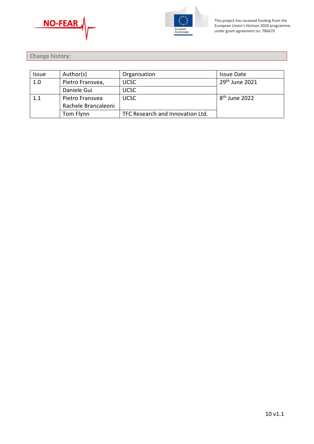



<span id="page-9-0"></span>**Change history:** 

| <i><b>Issue</b></i> | Author(s)           | Organisation                     | Issue Date                |
|---------------------|---------------------|----------------------------------|---------------------------|
| 1.0                 | Pietro Fransvea,    | <b>UCSC</b>                      | $29th$ June 2021          |
|                     | Daniele Gui         | <b>UCSC</b>                      |                           |
| 1.1                 | Pietro Fransvea     | <b>UCSC</b>                      | 8 <sup>th</sup> June 2022 |
|                     | Rachele Brancaleoni |                                  |                           |
|                     | Tom Flynn           | TFC Research and Innovation Ltd. |                           |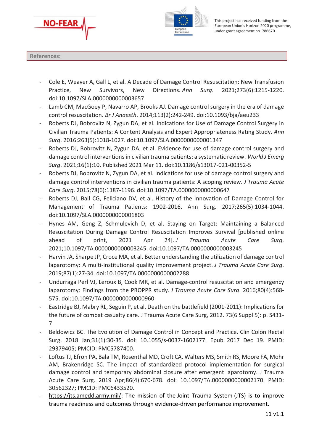



#### <span id="page-10-0"></span>**References:**

- Cole E, Weaver A, Gall L, et al. A Decade of Damage Control Resuscitation: New Transfusion Practice, New Survivors, New Directions. *Ann Surg*. 2021;273(6):1215-1220. doi:10.1097/SLA.0000000000003657
- Lamb CM, MacGoey P, Navarro AP, Brooks AJ. Damage control surgery in the era of damage control resuscitation. *Br J Anaesth*. 2014;113(2):242-249. doi:10.1093/bja/aeu233
- Roberts DJ, Bobrovitz N, Zygun DA, et al. Indications for Use of Damage Control Surgery in Civilian Trauma Patients: A Content Analysis and Expert Appropriateness Rating Study. *Ann Surg*. 2016;263(5):1018-1027. doi:10.1097/SLA.0000000000001347
- Roberts DJ, Bobrovitz N, Zygun DA, et al. Evidence for use of damage control surgery and damage control interventionsin civilian trauma patients: a systematic review. *World J Emerg Surg*. 2021;16(1):10. Published 2021 Mar 11. doi:10.1186/s13017-021-00352-5
- Roberts DJ, Bobrovitz N, Zygun DA, et al. Indications for use of damage control surgery and damage control interventions in civilian trauma patients: A scoping review. *J Trauma Acute Care Surg*. 2015;78(6):1187-1196. doi:10.1097/TA.0000000000000647
- Roberts DJ, Ball CG, Feliciano DV, et al. History of the Innovation of Damage Control for Management of Trauma Patients: 1902-2016. Ann Surg. 2017;265(5):1034-1044. doi:10.1097/SLA.0000000000001803
- Hynes AM, Geng Z, Schmulevich D, et al. Staying on Target: Maintaining a Balanced Resuscitation During Damage Control Resuscitation Improves Survival [published online ahead of print, 2021 Apr 24]. *J Trauma Acute Care Surg*. 2021;10.1097/TA.0000000000003245. doi:10.1097/TA.0000000000003245
- Harvin JA, Sharpe JP, Croce MA, et al. Better understanding the utilization of damage control laparotomy: A multi-institutional quality improvement project. *J Trauma Acute Care Surg*. 2019;87(1):27-34. doi:10.1097/TA.0000000000002288
- Undurraga Perl VJ, Leroux B, Cook MR, et al. Damage-control resuscitation and emergency laparotomy: Findings from the PROPPR study. *J Trauma Acute Care Surg*. 2016;80(4):568- 575. doi:10.1097/TA.0000000000000960
- Eastridge BJ, Mabry RL, Seguin P, et al. Death on the battlefield (2001-2011): Implications for the future of combat casualty care. J Trauma Acute Care Surg, 2012. 73(6 Suppl 5): p. S431- 7
- Beldowicz BC. The Evolution of Damage Control in Concept and Practice. Clin Colon Rectal Surg. 2018 Jan;31(1):30-35. doi: 10.1055/s-0037-1602177. Epub 2017 Dec 19. PMID: 29379405; PMCID: PMC5787400.
- Loftus TJ, Efron PA, Bala TM, Rosenthal MD, Croft CA, Walters MS, Smith RS, Moore FA, Mohr AM, Brakenridge SC. The impact of standardized protocol implementation for surgical damage control and temporary abdominal closure after emergent laparotomy. J Trauma Acute Care Surg. 2019 Apr;86(4):670-678. doi: 10.1097/TA.0000000000002170. PMID: 30562327; PMCID: PMC6433520.
- [https://jts.amedd.army.mil/:](https://jts.amedd.army.mil/) The mission of the Joint Trauma System (JTS) is to improve trauma readiness and outcomes through evidence-driven performance improvement.